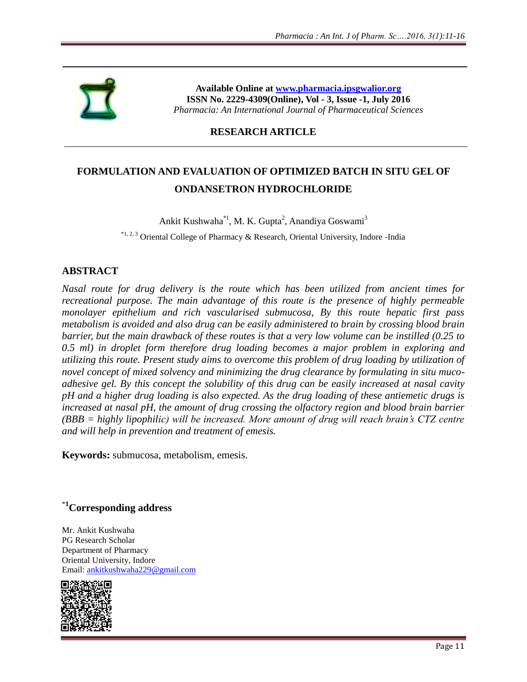

**Available Online at [www.pharmacia.ipsgwalior.org](http://www.pharmacia.ipsgwalior.org/) ISSN No. 2229-4309(Online), Vol - 3, Issue -1, July 2016** *Pharmacia: An International Journal of Pharmaceutical Sciences*

**RESEARCH ARTICLE**

# **FORMULATION AND EVALUATION OF OPTIMIZED BATCH IN SITU GEL OF ONDANSETRON HYDROCHLORIDE**

Ankit Kushwaha<sup>\*1</sup>, M. K. Gupta<sup>2</sup>, Anandiya Goswami<sup>3</sup> \*1, 2, 3 Oriental College of Pharmacy & Research, Oriental University, Indore -India

## **ABSTRACT**

*Nasal route for drug delivery is the route which has been utilized from ancient times for recreational purpose. The main advantage of this route is the presence of highly permeable monolayer epithelium and rich vascularised submucosa, By this route hepatic first pass metabolism is avoided and also drug can be easily administered to brain by crossing blood brain barrier, but the main drawback of these routes is that a very low volume can be instilled (0.25 to 0.5 ml) in droplet form therefore drug loading becomes a major problem in exploring and utilizing this route. Present study aims to overcome this problem of drug loading by utilization of novel concept of mixed solvency and minimizing the drug clearance by formulating in situ mucoadhesive gel. By this concept the solubility of this drug can be easily increased at nasal cavity pH and a higher drug loading is also expected. As the drug loading of these antiemetic drugs is increased at nasal pH, the amount of drug crossing the olfactory region and blood brain barrier (BBB = highly lipophilic) will be increased. More amount of drug will reach brain's CTZ centre and will help in prevention and treatment of emesis.*

**Keywords:** submucosa, metabolism, emesis.

\***<sup>1</sup>Corresponding address**

Mr. Ankit Kushwaha PG Research Scholar Department of Pharmacy Oriental University, Indore Email: [ankitkushwaha229@gmail.com](mailto:ankitkushwaha229@gmail.com)

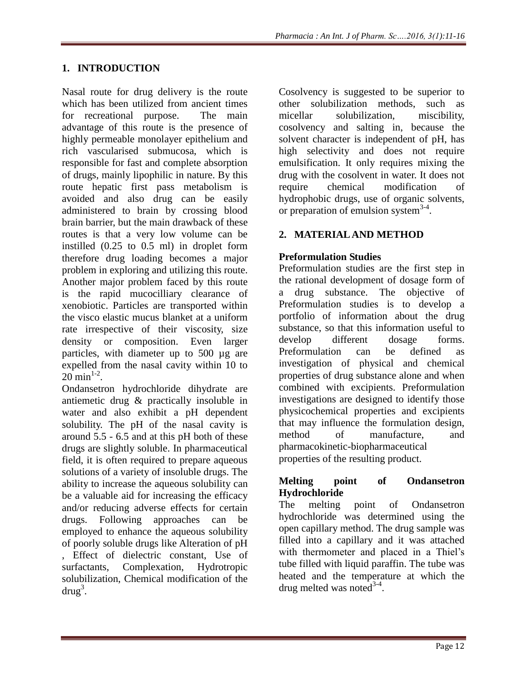## **1. INTRODUCTION**

Nasal route for drug delivery is the route which has been utilized from ancient times for recreational purpose. The main advantage of this route is the presence of highly permeable monolayer epithelium and rich vascularised submucosa, which is responsible for fast and complete absorption of drugs, mainly lipophilic in nature. By this route hepatic first pass metabolism is avoided and also drug can be easily administered to brain by crossing blood brain barrier, but the main drawback of these routes is that a very low volume can be instilled (0.25 to 0.5 ml) in droplet form therefore drug loading becomes a major problem in exploring and utilizing this route. Another major problem faced by this route is the rapid mucocilliary clearance of xenobiotic. Particles are transported within the visco elastic mucus blanket at a uniform rate irrespective of their viscosity, size density or composition. Even larger particles, with diameter up to 500 µg are expelled from the nasal cavity within 10 to  $20 \text{ min}^{1-2}$ .

Ondansetron hydrochloride dihydrate are antiemetic drug & practically insoluble in water and also exhibit a pH dependent solubility. The pH of the nasal cavity is around 5.5 - 6.5 and at this pH both of these drugs are slightly soluble. In pharmaceutical field, it is often required to prepare aqueous solutions of a variety of insoluble drugs. The ability to increase the aqueous solubility can be a valuable aid for increasing the efficacy and/or reducing adverse effects for certain drugs. Following approaches can be employed to enhance the aqueous solubility of poorly soluble drugs like Alteration of pH , Effect of dielectric constant, Use of surfactants, Complexation, Hydrotropic solubilization, Chemical modification of the  $d\text{rug}^3$ .

Cosolvency is suggested to be superior to other solubilization methods, such as micellar solubilization, miscibility, cosolvency and salting in, because the solvent character is independent of pH, has high selectivity and does not require emulsification. It only requires mixing the drug with the cosolvent in water. It does not require chemical modification of hydrophobic drugs, use of organic solvents, or preparation of emulsion system $3-4$ .

## **2. MATERIAL AND METHOD**

### **Preformulation Studies**

Preformulation studies are the first step in the rational development of dosage form of a drug substance. The objective of Preformulation studies is to develop a portfolio of information about the drug substance, so that this information useful to develop different dosage forms. Preformulation can be defined as investigation of physical and chemical properties of drug substance alone and when combined with excipients. Preformulation investigations are designed to identify those physicochemical properties and excipients that may influence the formulation design, method of manufacture, and pharmacokinetic-biopharmaceutical properties of the resulting product.

#### **Melting point of Ondansetron Hydrochloride**

The melting point of Ondansetron hydrochloride was determined using the open capillary method. The drug sample was filled into a capillary and it was attached with thermometer and placed in a Thiel's tube filled with liquid paraffin. The tube was heated and the temperature at which the drug melted was noted $^{3-4}$ .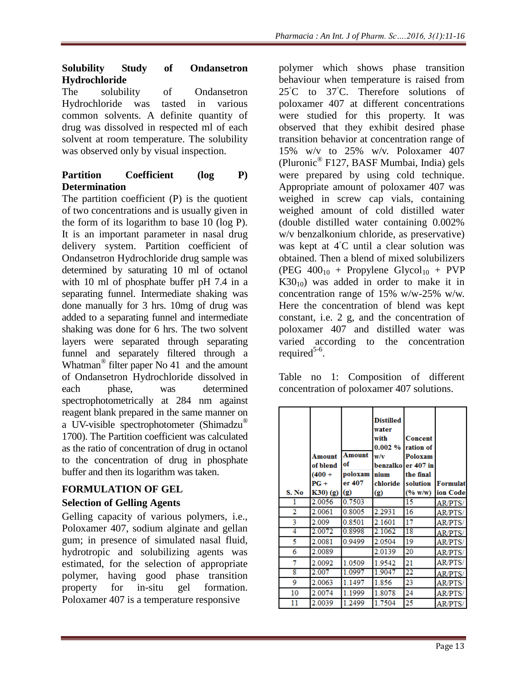#### **Solubility Study of Ondansetron Hydrochloride**

The solubility of Ondansetron Hydrochloride was tasted in various common solvents. A definite quantity of drug was dissolved in respected ml of each solvent at room temperature. The solubility was observed only by visual inspection.

## **Partition Coefficient (log P) Determination**

The partition coefficient (P) is the quotient of two concentrations and is usually given in the form of its logarithm to base 10 (log P). It is an important parameter in nasal drug delivery system. Partition coefficient of Ondansetron Hydrochloride drug sample was determined by saturating 10 ml of octanol with 10 ml of phosphate buffer pH 7.4 in a separating funnel. Intermediate shaking was done manually for 3 hrs. 10mg of drug was added to a separating funnel and intermediate shaking was done for 6 hrs. The two solvent layers were separated through separating funnel and separately filtered through a Whatman® filter paper No 41 and the amount of Ondansetron Hydrochloride dissolved in each phase, was determined spectrophotometrically at 284 nm against reagent blank prepared in the same manner on a UV-visible spectrophotometer (Shimadzu® 1700). The Partition coefficient was calculated as the ratio of concentration of drug in octanol to the concentration of drug in phosphate buffer and then its logarithm was taken.

## **FORMULATION OF GEL**

## **Selection of Gelling Agents**

Gelling capacity of various polymers, i.e., Poloxamer 407, sodium alginate and gellan gum; in presence of simulated nasal fluid, hydrotropic and solubilizing agents was estimated, for the selection of appropriate polymer, having good phase transition property for in-situ gel formation. Poloxamer 407 is a temperature responsive

polymer which shows phase transition behaviour when temperature is raised from 25℃ to 37℃. Therefore solutions of poloxamer 407 at different concentrations were studied for this property. It was observed that they exhibit desired phase transition behavior at concentration range of 15% w/v to 25% w/v. Poloxamer 407 (Pluronic® F127, BASF Mumbai, India) gels were prepared by using cold technique. Appropriate amount of poloxamer 407 was weighed in screw cap vials, containing weighed amount of cold distilled water (double distilled water containing 0.002% w/v benzalkonium chloride, as preservative) was kept at 4<sup>°</sup>C until a clear solution was obtained. Then a blend of mixed solubilizers (PEG  $400_{10}$  + Propylene Glycol<sub>10</sub> + PVP  $K30_{10}$ ) was added in order to make it in concentration range of 15% w/w-25% w/w. Here the concentration of blend was kept constant, i.e. 2 g, and the concentration of poloxamer 407 and distilled water was varied according to the concentration required<sup>5-6</sup>.

Table no 1: Composition of different concentration of poloxamer 407 solutions.

| S. No          | Amount<br>of blend<br>$(400 +$<br>$PG +$<br>K30) (g) | Amount<br>of<br>poloxam<br>er 407<br>$(g)$ | <b>Distilled</b><br>water<br>with<br>0.002%<br>w/v<br>nium<br>chloride<br>$\left( 2 \right)$ | Concent<br>ration of<br>Poloxam<br>benzalkoler 407 in<br>the final<br>solution<br>(% w/w) | Formulat<br>ion Code |
|----------------|------------------------------------------------------|--------------------------------------------|----------------------------------------------------------------------------------------------|-------------------------------------------------------------------------------------------|----------------------|
| 1              | 2.0056                                               | 0.7503                                     |                                                                                              | 15                                                                                        | <b>AR/PTS/</b>       |
| $\overline{2}$ | 2.0061                                               | 0.8005                                     | 2.2931                                                                                       | 16                                                                                        | <b>AR/PTS/</b>       |
| 3              | 2.009                                                | 0.8501                                     | 2.1601                                                                                       | 17                                                                                        | <b>AR/PTS/</b>       |
| 4              | 2.0072                                               | 0.8998                                     | 2.1062                                                                                       | 18                                                                                        | <b>AR/PTS/</b>       |
| 5              | 2.0081                                               | 0.9499                                     | 2.0504                                                                                       | 19                                                                                        | <b>AR/PTS/</b>       |
| 6              | 2.0089                                               |                                            | 2.0139                                                                                       | 20                                                                                        | <b>AR/PTS/</b>       |
| 7              | 2.0092                                               | 1.0509                                     | 1.9542                                                                                       | 21                                                                                        | AR/PTS/              |
| 8              | 2.007                                                | 1.0997                                     | 1.9047                                                                                       | 22                                                                                        | <b>AR/PTS/</b>       |
| 9              | 2.0063                                               | 1.1497                                     | 1.856                                                                                        | 23                                                                                        | <b>AR/PTS/</b>       |
| 10             | 2.0074                                               | 1.1999                                     | 1.8078                                                                                       | 24                                                                                        | <b>AR/PTS/</b>       |
| 11             | 2.0039                                               | 1.2499                                     | 1.7504                                                                                       | 25                                                                                        | <b>AR/PTS/</b>       |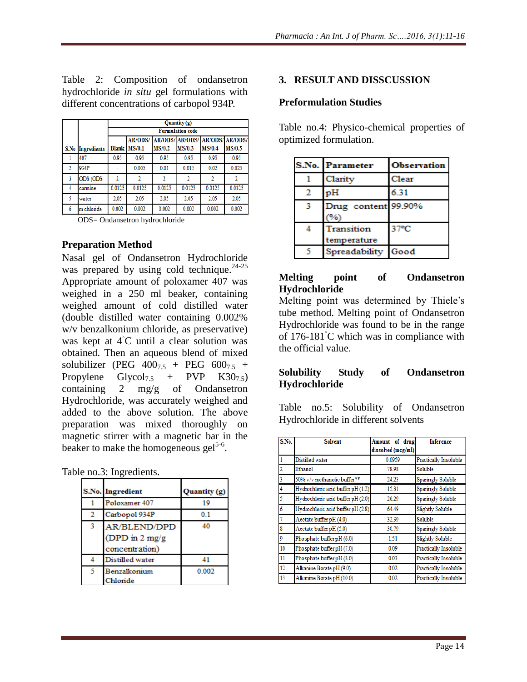Table 2: Composition of ondansetron hydrochloride *in situ* gel formulations with different concentrations of carbopol 934P.

|      |                    | Quantity (g) |                         |               |                                         |        |               |
|------|--------------------|--------------|-------------------------|---------------|-----------------------------------------|--------|---------------|
|      |                    |              | <b>Formulation</b> code |               |                                         |        |               |
|      |                    |              |                         |               | AR/ODS/ AR/ODS/ AR/ODS/ AR/ODS/ AR/ODS/ |        |               |
| S.No | <b>Ingredients</b> |              | Blank  MS/0.1           | <b>MS/0.2</b> | MS/0.3                                  | MS/0.4 | <b>MS/0.5</b> |
|      | 407                | 0.95         | 0.95                    | 0.95          | 0.95                                    | 0.95   | 0.95          |
|      | 934P               |              | 0.005                   | 0.01          | 0.015                                   | 0.02   | 0.025         |
| 3    | ODS (ODS           | <sup>2</sup> |                         |               |                                         |        |               |
|      | carmine            | 0.0125       | 0.0125                  | 0.0125        | 0.0125                                  | 0.0125 | 0.0125        |
|      | water              | 2.05         | 2.05                    | 2.05          | 2.05                                    | 2.05   | 2.05          |
| 6    | m chloride         | 0.002        | 0.002                   | 0.002         | 0.002                                   | 0.002  | 0.002         |

ODS= Ondansetron hydrochloride

#### **Preparation Method**

Nasal gel of Ondansetron Hydrochloride was prepared by using cold technique.<sup>24-25</sup> Appropriate amount of poloxamer 407 was weighed in a 250 ml beaker, containing weighed amount of cold distilled water (double distilled water containing 0.002% w/v benzalkonium chloride, as preservative) was kept at 4℃ until a clear solution was obtained. Then an aqueous blend of mixed solubilizer (PEG  $400_{75}$  + PEG  $600_{75}$  + Propylene Glycol<sub>7.5</sub> + PVP K30<sub>7.5</sub>) containing 2 mg/g of Ondansetron Hydrochloride, was accurately weighed and added to the above solution. The above preparation was mixed thoroughly on magnetic stirrer with a magnetic bar in the beaker to make the homogeneous gel<sup>5-6</sup>.

|  | Table no.3: Ingredients. |
|--|--------------------------|
|--|--------------------------|

|   | S.No. Ingredient                                           | Quantity (g) |
|---|------------------------------------------------------------|--------------|
|   | Poloxamer 407                                              | 19           |
| 2 | Carbopol 934P                                              | 0.1          |
| 3 | AR/BLEND/DPD<br>(DPD in $2 \text{ mg/g}$<br>concentration) | 40           |
|   | Distilled water                                            |              |
| 5 | Benzalkonium<br>Chloride                                   | 0.002        |

#### **3. RESULT AND DISSCUSSION**

#### **Preformulation Studies**

Table no.4: Physico-chemical properties of optimized formulation.

|   | <b>S.No. Parameter</b>     | <b>Observation</b> |
|---|----------------------------|--------------------|
|   | Clarity                    | Clear              |
| 2 | pH                         | 6.31               |
| 3 | Drug content 99.90%<br>(%) |                    |
|   | Transition<br>temperature  | $37^{\circ}$ C     |
|   | Spreadability              | Good               |

#### **Melting point of Ondansetron Hydrochloride**

Melting point was determined by Thiele's tube method. Melting point of Ondansetron Hydrochloride was found to be in the range of 176-181◦C which was in compliance with the official value.

### **Solubility Study of Ondansetron Hydrochloride**

Table no.5: Solubility of Ondansetron Hydrochloride in different solvents

| S.No. | <b>Solvent</b>                    | Amount<br>drug<br>οf<br>dissolved (mcg/ml) | <b>Inference</b>         |
|-------|-----------------------------------|--------------------------------------------|--------------------------|
|       | Distilled water                   | 0.0959                                     | Practically Insoluble    |
| 2     | Ethanol                           | 78.98                                      | Soluble                  |
| 3     | 50% v/v methanolic buffer**       | 24.23                                      | <b>Sparingly Soluble</b> |
| 4     | Hydrochloric acid buffer pH (1.2) | 15.31                                      | <b>Sparingly Soluble</b> |
| 5     | Hydrochloric acid buffer pH (2.0) | 26.29                                      | <b>Spaningly Soluble</b> |
| 6     | Hydrochloric acid buffer pH (2.8) | 64.49                                      | <b>Slightly Soluble</b>  |
|       | Acetate buffer pH (4.0)           | 32.39                                      | Soluble                  |
| 8     | Acetate buffer pH (5.0)           | 30.79                                      | <b>Sparingly Soluble</b> |
| 9     | Phosphate buffer pH (6.0)         | 1.51                                       | <b>Slightly Soluble</b>  |
| 10    | Phosphate buffer pH (7.0)         | 0.09                                       | Practically Insoluble    |
| 11    | Phosphate buffer pH (8.0)         | 0.03                                       | Practically Insoluble    |
| 12    | Alkanine Borate pH (9.0)          | 0.02                                       | Practically Insoluble    |
| 13    | Alkanine Borate pH (10.0)         | 0.02                                       | Practically Insoluble    |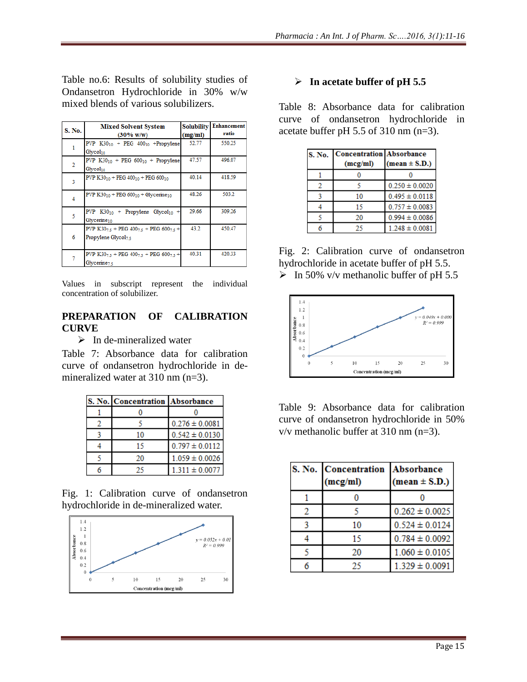Table no.6: Results of solubility studies of Ondansetron Hydrochloride in 30% w/w mixed blends of various solubilizers.

| <b>S. No.</b>  | <b>Mixed Solvent System</b><br>$(30\% \text{ w/w})$                                         | <b>Solubility</b><br>(mg/ml) | <b>Enhancement</b><br>ratio |
|----------------|---------------------------------------------------------------------------------------------|------------------------------|-----------------------------|
|                | PVP $K30_{10}$ + PEG 400 <sub>10</sub> + Propylene<br>Glycol <sub>10</sub>                  | 52.77                        | 550.25                      |
| $\overline{2}$ | PVP $K30_{10}$ + PEG 600 <sub>10</sub> + Propylene<br>Glycol <sub>10</sub>                  | 47.57                        | 496.07                      |
| 3              | PVP K30 <sub>10</sub> + PEG 400 <sub>10</sub> + PEG 600 <sub>10</sub>                       | 40.14                        | 418.59                      |
| 4              | PVP $K30_{10}$ + PEG 600 <sub>10</sub> + Glycerine <sub>10</sub>                            | 48.26                        | 503.2                       |
| 5              | PVP $K30_{10}$ + Propylene Glycol <sub>10</sub> +<br>Glycerine <sub>10</sub>                | 29.66                        | 309.26                      |
| 6              | PVP K30 $_{7.5}$ + PEG 400 $_{7.5}$ + PEG 600 $_{7.5}$ +<br>Propylene Glycol <sub>7.5</sub> | 43.2                         | 450.47                      |
|                | PVP K3075 + PEG 40075 + PEG 60075 +<br>Glycerine <sub>75</sub>                              | 40.31                        | 420.33                      |

Values in subscript represent the individual concentration of solubilizer.

#### **PREPARATION OF CALIBRATION CURVE**

 $\triangleright$  In de-mineralized water

Table 7: Absorbance data for calibration curve of ondansetron hydrochloride in demineralized water at 310 nm (n=3).

| S. No. Concentration Absorbance |                    |
|---------------------------------|--------------------|
|                                 |                    |
|                                 | $0.276 \pm 0.0081$ |
| 10                              | $0.542 \pm 0.0130$ |
| 15                              | $0.797 \pm 0.0112$ |
| 20                              | $1.059 \pm 0.0026$ |
| ንና                              | $1.311 \pm 0.0077$ |

Fig. 1: Calibration curve of ondansetron hydrochloride in de-mineralized water.



#### **In acetate buffer of pH 5.5**

Table 8: Absorbance data for calibration curve of ondansetron hydrochloride in acetate buffer pH 5.5 of 310 nm (n=3).

| S. No. | <b>Concentration Absorbance</b><br>(mcg/ml) | $(\text{mean} \pm \text{S.D.})$ |
|--------|---------------------------------------------|---------------------------------|
|        |                                             |                                 |
| 2      |                                             | $0.250 \pm 0.0020$              |
|        | 10                                          | $0.495 \pm 0.0118$              |
|        | 15                                          | $0.757 \pm 0.0083$              |
|        | 20                                          | $0.994 \pm 0.0086$              |
|        | 25                                          | $1.248 \pm 0.0081$              |

Fig. 2: Calibration curve of ondansetron hydrochloride in acetate buffer of pH 5.5.  $\triangleright$  In 50% v/v methanolic buffer of pH 5.5



Table 9: Absorbance data for calibration curve of ondansetron hydrochloride in 50% v/v methanolic buffer at 310 nm (n=3).

|   | S. No. Concentration<br>(mcg/ml) | <b>Absorbance</b><br>$(\text{mean} \pm \text{S.D.})$ |
|---|----------------------------------|------------------------------------------------------|
|   |                                  |                                                      |
| 2 |                                  | $0.262 \pm 0.0025$                                   |
|   | 10                               | $0.524 \pm 0.0124$                                   |
|   | 15                               | $0.784 \pm 0.0092$                                   |
|   | 20                               | $1.060 \pm 0.0105$                                   |
|   | 75                               | $1.329 \pm 0.0091$                                   |